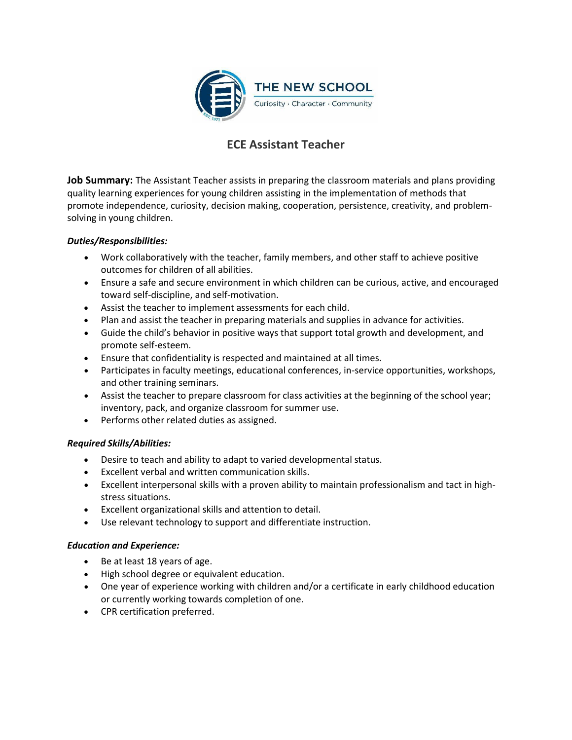

# **ECE Assistant Teacher**

**Job Summary:** The Assistant Teacher assists in preparing the classroom materials and plans providing quality learning experiences for young children assisting in the implementation of methods that promote independence, curiosity, decision making, cooperation, persistence, creativity, and problemsolving in young children.

### *Duties/Responsibilities:*

- Work collaboratively with the teacher, family members, and other staff to achieve positive outcomes for children of all abilities.
- Ensure a safe and secure environment in which children can be curious, active, and encouraged toward self-discipline, and self-motivation.
- Assist the teacher to implement assessments for each child.
- Plan and assist the teacher in preparing materials and supplies in advance for activities.
- Guide the child's behavior in positive ways that support total growth and development, and promote self-esteem.
- Ensure that confidentiality is respected and maintained at all times.
- Participates in faculty meetings, educational conferences, in-service opportunities, workshops, and other training seminars.
- Assist the teacher to prepare classroom for class activities at the beginning of the school year; inventory, pack, and organize classroom for summer use.
- Performs other related duties as assigned.

# *Required Skills/Abilities:*

- Desire to teach and ability to adapt to varied developmental status.
- Excellent verbal and written communication skills.
- Excellent interpersonal skills with a proven ability to maintain professionalism and tact in highstress situations.
- Excellent organizational skills and attention to detail.
- Use relevant technology to support and differentiate instruction.

# *Education and Experience:*

- $\bullet$  Be at least 18 years of age.
- High school degree or equivalent education.
- One year of experience working with children and/or a certificate in early childhood education or currently working towards completion of one.
- CPR certification preferred.